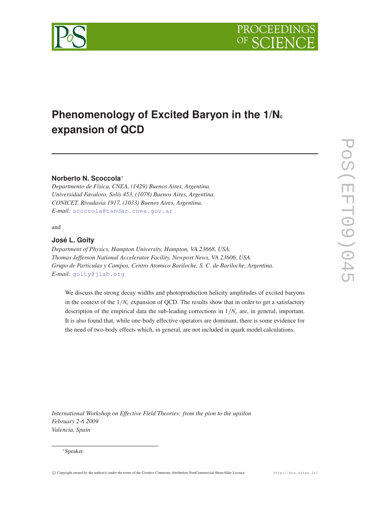



# **Phenomenology of Excited Baryon in the 1/N<sup>c</sup> expansion of QCD**

# **Norberto N. Scoccola**<sup>∗</sup>

*Departmento de Física, CNEA, (1429) Buenos Aires, Argentina. Universidad Favaloro, Solís 453, (1078) Buenos Aires, Argentina. CONICET, Rivadavia 1917, (1033) Buenos Aires, Argentina. E-mail:* [scoccola@tandar.cnea.gov.ar](mailto:scoccola@tandar.cnea.gov.ar)

and

# **José L. Goity**

*Department of Physics, Hampton University, Hampton, VA 23668, USA. Thomas Jefferson National Accelerator Facility, Newport News, VA 23606, USA. Grupo de Particulas y Campos, Centro Atomico Bariloche, S. C. de Bariloche, Argentina. E-mail:* [goity@jlab.org](mailto:goity@jlab.org)

We discuss the strong decay widths and photoproduction helicity amplitudes of excited baryons in the context of the  $1/N_c$  expansion of QCD. The results show that in order to get a satisfactory description of the empirical data the sub-leading corrections in  $1/N<sub>c</sub>$  are, in general, important. It is also found that, while one-body effective operators are dominant, there is some evidence for the need of two-body effects which, in general, are not included in quark model calculations.

*International Workshop on Effective Field Theories: from the pion to the upsilon February 2-6 2009 Valencia, Spain*

#### <sup>∗</sup>Speaker.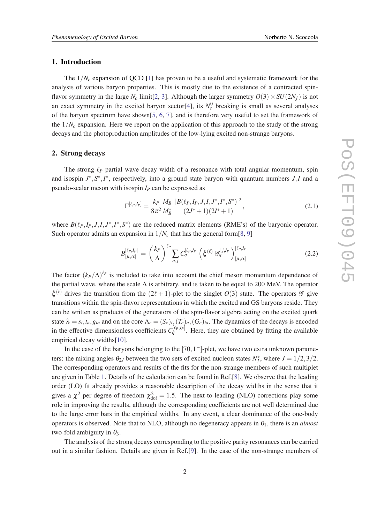## <span id="page-1-0"></span>1. Introduction

The  $1/N_c$  expansion of QCD [\[1\]](#page-6-0) has proven to be a useful and systematic framework for the analysis of various baryon properties. This is mostly due to the existence of a contracted spinflavor symmetry in the large  $N_c$  limit[[2](#page-6-0), [3](#page-6-0)]. Although the larger symmetry  $O(3) \times SU(2N_f)$  is not an exact symmetry in the excited baryon sector<sup>[\[4\]](#page-6-0)</sup>, its  $N_c^0$  breaking is small as several analyses of the baryon spectrum have shown $[5, 6, 7]$  $[5, 6, 7]$  $[5, 6, 7]$  $[5, 6, 7]$  $[5, 6, 7]$  $[5, 6, 7]$  $[5, 6, 7]$ , and is therefore very useful to set the framework of the  $1/N_c$  expansion. Here we report on the application of this approach to the study of the strong decays and the photoproduction amplitudes of the low-lying excited non-strange baryons.

#### 2. Strong decays

The strong  $\ell_P$  partial wave decay width of a resonance with total angular momentum, spin and isospin  $J^*$ ,  $S^*$ ,  $I^*$ , respectively, into a ground state baryon with quantum numbers  $J, I$  and a pseudo-scalar meson with isospin *I<sup>P</sup>* can be expressed as

$$
\Gamma^{[\ell_P, I_P]} = \frac{k_P}{8\pi^2} \frac{M_B}{M_B^*} \frac{|B(\ell_P, I_P, J, I, J^*, I^*, S^*)|^2}{(2J^* + 1)(2I^* + 1)},
$$
\n(2.1)

where  $B(\ell_P, I_P, J, I, J^*, I^*, S^*)$  are the reduced matrix elements (RME's) of the baryonic operator. Such operator admits an expansion in  $1/N_c$  that has the general form[[8](#page-6-0), [9\]](#page-6-0)

$$
B_{[\mu,\alpha]}^{[\ell_P,I_P]} = \left(\frac{k_P}{\Lambda}\right)^{\ell_P} \sum_{q,j} C_q^{[\ell_P,I_P]} \left(\xi^{(\ell)} \mathcal{G}_q^{[j,I_P]}\right)_{[\mu,\alpha]}^{[\ell_P,I_P]} \tag{2.2}
$$

The factor  $(k_P/\Lambda)^{\ell_P}$  is included to take into account the chief meson momentum dependence of the partial wave, where the scale  $\Lambda$  is arbitrary, and is taken to be equal to 200 MeV. The operator  $\xi^{(\ell)}$  drives the transition from the  $(2\ell + 1)$ -plet to the singlet  $O(3)$  state. The operators  $\mathscr G$  give transitions within the spin-flavor representations in which the excited and GS baryons reside. They can be written as products of the generators of the spin-flavor algebra acting on the excited quark state  $\lambda = s_i, t_a, g_{ia}$  and on the core  $\Lambda_c = (S_c)_i, (T_c)_a, (G_c)_{ia}$ . The dynamics of the decays is encoded in the effective dimensionless coefficients  $C_q^{[\ell_P,I_P]}$ . Here, they are obtained by fitting the available empirical decay widths[\[10](#page-6-0)].

In the case of the baryons belonging to the  $[70, 1<sup>-</sup>]$ -plet, we have two extra unknown parameters: the mixing angles  $\theta_{2J}$  between the two sets of excited nucleon states  $N_J^*$ , where  $J = 1/2, 3/2$ . The corresponding operators and results of the fits for the non-strange members of such multiplet are given in Table [1](#page-2-0). Details of the calculation can be found in Ref.[\[8](#page-6-0)]. We observe that the leading order (LO) fit already provides a reasonable description of the decay widths in the sense that it gives a  $\chi^2$  per degree of freedom  $\chi^2_{\text{dof}} = 1.5$ . The next-to-leading (NLO) corrections play some role in improving the results, although the corresponding coefficients are not well determined due to the large error bars in the empirical widths. In any event, a clear dominance of the one-body operators is observed. Note that to NLO, although no degeneracy appears in  $\theta_1$ , there is an *almost* two-fold ambiguity in  $\theta_3$ .

The analysis of the strong decays corresponding to the positive parity resonances can be carried out in a similar fashion. Details are given in Ref.[[9](#page-6-0)]. In the case of the non-strange members of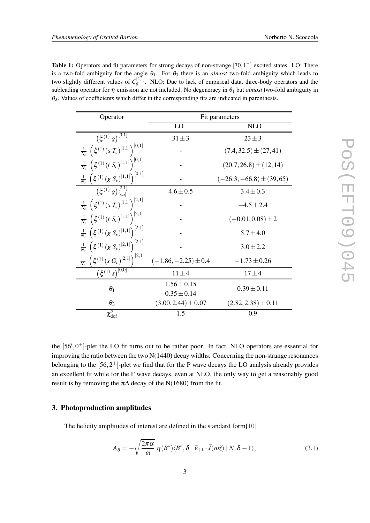<span id="page-2-0"></span>Table 1: Operators and fit parameters for strong decays of non-strange  $[70,1^-]$  excited states. LO: There is a two-fold ambiguity for the angle  $\theta_1$ . For  $\theta_3$  there is an *almost* two-fold ambiguity which leads to two slightly different values of  $C_6^{[2,1]}$  $6<sup>{[2,1]}</sup>$ . NLO: Due to lack of empirical data, three-body operators and the subleading operator for  $\eta$  emission are not included. No degeneracy in  $\theta_1$  but *almost* two-fold ambiguity in  $\theta_3$ . Values of coefficients which differ in the corresponding fits are indicated in parenthesis.

| Operator                                                                        | Fit parameters             |                               |  |
|---------------------------------------------------------------------------------|----------------------------|-------------------------------|--|
|                                                                                 | LO                         | <b>NLO</b>                    |  |
| $(\xi^{(1)}g)^{[0,1]}$                                                          | $31 \pm 3$                 | $23 \pm 3$                    |  |
| $\frac{1}{N_c}\,\left(\xi^{(1)}\,(s\,T_c)^{[1,1]}\right)^{[0,1]}$               | $(7.4, 32.5) \pm (27, 41)$ |                               |  |
| $\frac{1}{N_c} \left( \xi^{(1)} (t S_c)^{[1,1]} \right)^{[0,1]}$                |                            | $(20.7, 26.8) \pm (12, 14)$   |  |
| $\frac{1}{N_c}$ $\left(\xi^{(1)}(g S_c)^{[1,1]}\right)^{[0,1]}$                 |                            | $(-26.3, -66.8) \pm (39, 65)$ |  |
| $\left(\xi^{(1)}g\right)_{[i,d]}^{[2,1]}$                                       | $4.6 \pm 0.5$              | $3.4 \pm 0.3$                 |  |
| $\frac{1}{N_c}$ $\left(\xi^{(1)}(s T_c)^{[1,1]}\right)^{[2,1]}$                 |                            | $-4.5 \pm 2.4$                |  |
| $\frac{1}{N_c}$ $(\xi^{(1)} (t S_c)^{[1,1]})^{[2,1]}$                           |                            | $(-0.01, 0.08) \pm 2$         |  |
| $\frac{1}{N_c} \left( \xi^{(1)} \left( g \ S_c \right)^{[1,1]} \right)^{[2,1]}$ |                            | $5.7 \pm 4.0$                 |  |
| $\frac{1}{N_c} \left( \xi^{(1)}(g S_c)^{[2,1]}\right)^{[2,1]}$                  |                            | $3.0 \pm 2.2$                 |  |
| $\frac{1}{N_c}$ $\left(\xi^{(1)}(s G_c)^{[2,1]}\right)^{[2,1]}$                 | $(-1.86, -2.25) \pm 0.4$   | $-1.73 \pm 0.26$              |  |
| $(\xi^{(1)} s)^{[0,0]}$                                                         | $11 \pm 4$                 | $17 \pm 4$                    |  |
| $\theta_1$                                                                      | $1.56 \pm 0.15$            | $0.39 \pm 0.11$               |  |
|                                                                                 | $0.35 \pm 0.14$            |                               |  |
| $\theta_3$                                                                      | $(3.00, 2.44) \pm 0.07$    | $(2.82, 2.38) \pm 0.11$       |  |
| $\chi^2_{\rm dof}$                                                              | 1.5                        | 0.9                           |  |

the  $[56', 0^+]$ -plet the LO fit turns out to be rather poor. In fact, NLO operators are essential for improving the ratio between the two  $N(1440)$  decay widths. Concerning the non-strange resonances belonging to the  $[56,2^+]$ -plet we find that for the P wave decays the LO analysis already provides an excellent fit while for the F wave decays, even at NLO, the only way to get a reasonably good result is by removing the  $\pi\Delta$  decay of the N(1680) from the fit.

## 3. Photoproduction amplitudes

The helicity amplitudes of interest are defined in the standard form[[10\]](#page-6-0)

$$
A_{\delta} = -\sqrt{\frac{2\pi\alpha}{\omega}} \eta(B^*) \langle B^*, \delta \mid \vec{\varepsilon}_{+1} \cdot \vec{J}(\omega \hat{z}) \mid N, \delta - 1 \rangle, \tag{3.1}
$$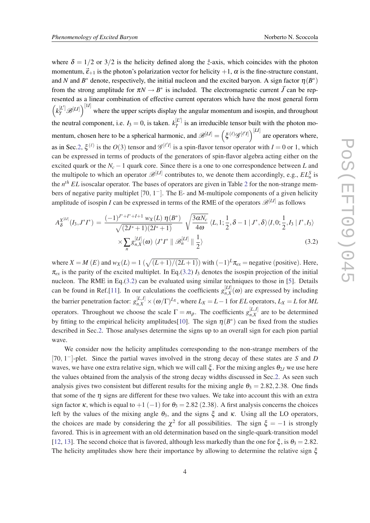where  $\delta = 1/2$  or  $3/2$  is the helicity defined along the  $\hat{z}$ -axis, which coincides with the photon momentum,  $\vec{\epsilon}_{+1}$  is the photon's polarization vector for helicity  $+1$ ,  $\alpha$  is the fine-structure constant, and *N* and  $B^*$  denote, respectively, the initial nucleon and the excited baryon. A sign factor  $\eta(B^*)$ from the strong amplitude for  $\pi N \to B^*$  is included. The electromagnetic current  $\vec{J}$  can be represented as a linear combination of effective current operators which have the most general form  $\left(k_\gamma^{[L']}\mathcal{B}^{[L]}\right)^{[1]}$  where the upper scripts display the angular momentum and isospin, and throughout the neutral component, i.e.  $I_3 = 0$ , is taken.  $k_{\gamma}^{[L']}$  $\gamma^{\mu}$  is an irreducible tensor built with the photon momentum, chosen here to be a spherical harmonic, and  $\mathscr{B}^{[LI]} = (\xi^{(\ell)} \mathscr{G}^{[\ell'I]})^{[LI]}$  are operators where, as in Sec.[2](#page-1-0),  $\xi^{(\ell)}$  is the  $O(3)$  tensor and  $\mathscr{G}^{[\ell']}$  is a spin-flavor tensor operator with  $I = 0$  or 1, which can be expressed in terms of products of the generators of spin-flavor algebra acting either on the excited quark or the *N<sup>c</sup>* −1 quark core. Since there is a one to one correspondence between *L* and the multipole to which an operator  $\mathcal{B}^{[L]}$  contributes to, we denote them accordingly, e.g.,  $EL_n^S$  is the *n th EL* isoscalar operator. The bases of operators are given in Table [2](#page-5-0) for the non-strange members of negative parity multiplet  $[70, 1<sup>-</sup>]$ . The E- and M-multipole components of a given helicity amplitude of isospin *I* can be expressed in terms of the RME of the operators  $\mathscr{B}^{[L]}$  as follows

$$
A_{\delta}^{X^{[LI]}}(I_3, J^*I^*) = \frac{(-1)^{J^*+I^*+I+1} w_X(L) \eta(B^*)}{\sqrt{(2J^*+1)(2I^*+1)}} \sqrt{\frac{3\alpha N_c}{4\omega}} \langle L, 1; \frac{1}{2}, \delta - 1 | J^*, \delta \rangle \langle I, 0; \frac{1}{2}, I_3 | I^*, I_3 \rangle
$$
  
 
$$
\times \sum_{n} g_{n,X}^{[LI]}(\omega) \langle J^*I^* || \mathcal{B}_n^{[LI]} || \frac{1}{2} \rangle \tag{3.2}
$$

where  $X = M(E)$  and  $w_X(L) = 1 \left( \sqrt{(L+1)/(2L+1)} \right)$  with  $(-1)^L \pi_{ex}$  = negative (positive). Here,  $\pi_{ex}$  is the parity of the excited multiplet. In Eq.(3.2)  $I_3$  denotes the isospin projection of the initial nucleon. The RME in Eq.(3.2) can be evaluated using similar techniques to those in [\[5\]](#page-6-0). Details can be found in Ref.[[11\]](#page-6-0). In our calculations the coefficients  $g_{n,X}^{[L]}$  $n, X(\omega)$  are expressed by including the barrier penetration factor:  $g_{n,X}^{[L,I]} \times (\omega/\Gamma)^{L_X}$ , where  $L_X = L - 1$  for *EL* operators,  $L_X = L$  for *ML* operators. Throughout we choose the scale  $\Gamma = m_\rho$ . The coefficients  $g_{n,X}^{[L,I]}$  $n, X$ <sup>[L,1]</sup> are to be determined by fitting to the empirical helicity amplitudes[[10\]](#page-6-0). The sign  $\eta(B^*)$  can be fixed from the studies described in Sec[.2.](#page-1-0) Those analyses determine the signs up to an overall sign for each pion partial wave.

We consider now the helicity amplitudes corresponding to the non-strange members of the [70, 1 <sup>−</sup>]-plet. Since the partial waves involved in the strong decay of these states are *S* and *D* waves, we have one extra relative sign, which we will call  $\xi$ . For the mixing angles  $\theta_{2J}$  we use here the values obtained from the analysis of the strong decay widths discussed in Sec[.2.](#page-1-0) As seen such analysis gives two consistent but different results for the mixing angle  $\theta_3 = 2.82, 2.38$ . One finds that some of the  $\eta$  signs are different for these two values. We take into account this with an extra sign factor κ, which is equal to  $+1$  (-1) for  $\theta_3 = 2.82$  (2.38). A first analysis concerns the choices left by the values of the mixing angle  $\theta_3$ , and the signs  $\xi$  and  $\kappa$ . Using all the LO operators, the choices are made by considering the  $\chi^2$  for all possibilities. The sign  $\xi = -1$  is strongly favored. This is in agreement with an old determination based on the single-quark-transition model [[12,](#page-6-0) [13\]](#page-6-0). The second choice that is favored, although less markedly than the one for  $\xi$ , is  $\theta_3 = 2.82$ . The helicity amplitudes show here their importance by allowing to determine the relative sign  $\xi$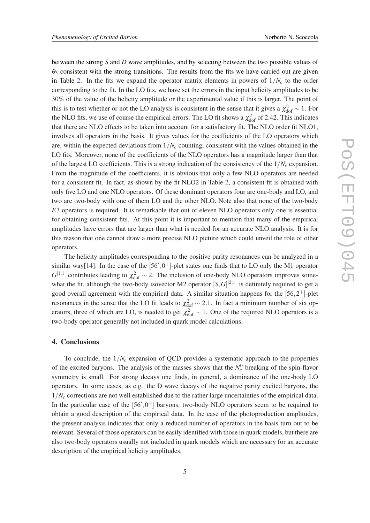between the strong *S* and *D* wave amplitudes, and by selecting between the two possible values of  $\theta_3$  consistent with the strong transitions. The results from the fits we have carried out are given in Table [2](#page-5-0). In the fits we expand the operator matrix elements in powers of  $1/N<sub>c</sub>$  to the order corresponding to the fit. In the LO fits, we have set the errors in the input helicity amplitudes to be 30% of the value of the helicity amplitude or the experimental value if this is larger. The point of this is to test whether or not the LO analysis is consistent in the sense that it gives a  $\chi^2_{\rm dof} \sim 1$ . For the NLO fits, we use of course the empirical errors. The LO fit shows a  $\chi^2_{\text{dof}}$  of 2.42. This indicates that there are NLO effects to be taken into account for a satisfactory fit. The NLO order fit NLO1, involves all operators in the basis. It gives values for the coefficients of the LO operators which are, within the expected deviations from  $1/N_c$  counting, consistent with the values obtained in the LO fits. Moreover, none of the coefficients of the NLO operators has a magnitude larger than that of the largest LO coefficients. This is a strong indication of the consistency of the 1/*N<sup>c</sup>* expansion. From the magnitude of the coefficients, it is obvious that only a few NLO operators are needed for a consistent fit. In fact, as shown by the fit NLO2 in Table [2,](#page-5-0) a consistent fit is obtained with only five LO and one NLO operators. Of these dominant operators four are one-body and LO, and two are two-body with one of them LO and the other NLO. Note also that none of the two-body *E*3 operators is required. It is remarkable that out of eleven NLO operators only one is essential for obtaining consistent fits. At this point it is important to mention that many of the empirical amplitudes have errors that are larger than what is needed for an accurate NLO analysis. It is for this reason that one cannot draw a more precise NLO picture which could unveil the role of other operators.

The helicity amplitudes corresponding to the positive parity resonances can be analyzed in a similar way[\[14](#page-6-0)]. In the case of the  $[56', 0^+]$ -plet states one finds that to LO only the M1 operator  $G^{[1,1]}$  contributes leading to  $\chi^2_{\text{dof}} \sim 2$ . The inclusion of one-body NLO operators improves somewhat the fit, although the two-body isovector M2 operator  $[S, G]^{[2,1]}$  is definitely required to get a good overall agreement with the empirical data. A similar situation happens for the  $[56,2^+]$ -plet resonances in the sense that the LO fit leads to  $\chi^2_{\text{dof}} \sim 2.1$ . In fact a minimum number of six operators, three of which are LO, is needed to get  $\chi^2_{\text{dof}} \sim 1$ . One of the required NLO operators is a two-body operator generally not included in quark model calculations.

## 4. Conclusions

To conclude, the  $1/N_c$  expansion of QCD provides a systematic approach to the properties of the excited baryons. The analysis of the masses shows that the  $N_c^0$  breaking of the spin-flavor symmetry is small. For strong decays one finds, in general, a dominance of the one-body LO operators. In some cases, as e.g. the D wave decays of the negative parity excited baryons, the  $1/N_c$  corrections are not well established due to the rather large uncertainties of the empirical data. In the particular case of the  $[56', 0^+]$  baryons, two-body NLO operators seem to be required to obtain a good description of the empirical data. In the case of the photoproduction amplitudes, the present analysis indicates that only a reduced number of operators in the basis turn out to be relevant. Several of those operators can be easily identified with those in quark models, but there are also two-body operators usually not included in quark models which are necessary for an accurate description of the empirical helicity amplitudes.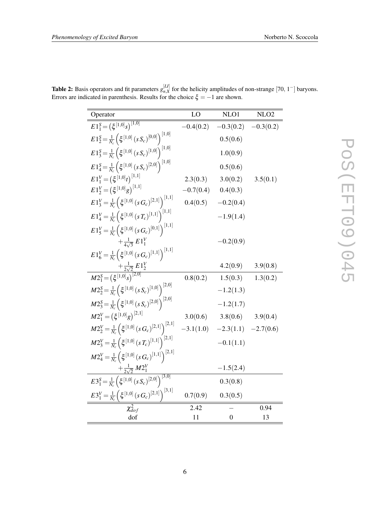| Operator                                                                                                   | LO          | NLO1                                | NLO <sub>2</sub> |
|------------------------------------------------------------------------------------------------------------|-------------|-------------------------------------|------------------|
| $E1_1^S = \overline{\left(\xi^{[1,0]}s\right)^{[1,0]}}$                                                    | $-0.4(0.2)$ | $-0.3(0.2)$                         | $-0.3(0.2)$      |
| $E1_{2}^{S} = \frac{1}{N_c} \left( \xi^{[1,0]} \left( s S_c \right)^{[0,0]} \right)^{[1,0]}$               |             | 0.5(0.6)                            |                  |
| $E1_3^S = \frac{1}{N_c} \left( \xi^{[1,0]} \left( s S_c \right)^{[1,0]} \right)^{[1,0]}$                   |             | 1.0(0.9)                            |                  |
| $E1_4^S = \frac{1}{N_c} \left( \xi^{[1,0]} \left( s S_c \right)^{[2,0]} \right)^{[1,0]}$                   |             | 0.5(0.6)                            |                  |
| $E1_1^V = (\xi^{[1,0]}t)^{[1,1]}$                                                                          | 2.3(0.3)    | 3.0(0.2)                            | 3.5(0.1)         |
| $E1_{2}^{V} = (\xi^{[1,0]}g)^{[1,1]}$                                                                      | $-0.7(0.4)$ | 0.4(0.3)                            |                  |
| $E1_{3}^{V} = \frac{1}{N_c} \left( \xi^{[1,0]} \left( s \, G_c \right)^{[2,1]} \right)^{[1,1]}$            | 0.4(0.5)    | $-0.2(0.4)$                         |                  |
| $E1_4^V = \frac{1}{N_c} \left( \xi^{[1,0]} (sT_c)^{[1,1]} \right)^{[1,1]}$                                 |             | $-1.9(1.4)$                         |                  |
| $E1_{5}^{V} = \frac{1}{N_{c}} \left( \xi^{[1,0]} \left( s \, G_{c} \right)^{[0,1]} \right)^{[1,1]}$        |             |                                     |                  |
| $+\frac{1}{4\sqrt{3}} E1_1^V$                                                                              |             | $-0.2(0.9)$                         |                  |
| $E1_{6}^{V} = \frac{1}{N_c} \left( \xi^{[1,0]} \left( s \, G_c \right)^{[1,1]} \right)^{[1,1]}$            |             |                                     |                  |
| $\frac{+ \frac{1}{2\sqrt{2}}\,E\,1_{2}^{V}}{M2_{1}^{S}=\left(\xi^{\,[1,0]}\hskip.03cm s\right)^{\,[2,0]}}$ |             | 4.2(0.9)                            | 3.9(0.8)         |
|                                                                                                            | 0.8(0.2)    | 1.5(0.3)                            | 1.3(0.2)         |
| $M2_{2}^{S} = \frac{1}{N_c} \left( \xi^{[1,0]} \left( s S_c \right)^{[1,0]} \right)^{[2,0]}$               |             | $-1.2(1.3)$                         |                  |
| $M2_3^S = \frac{1}{N_c} \left( \xi^{[1,0]} \left( s S_c \right)^{[2,0]} \right)^{[2,0]}$                   |             | $-1.2(1.7)$                         |                  |
| $M2_1^V = (\xi^{[1,0]}g)^{[2,1]}$                                                                          | 3.0(0.6)    | 3.8(0.6)                            | 3.9(0.4)         |
| $M2_{2}^{V} = \frac{1}{N_c} \left( \xi^{[1,0]} \left( s \, G_c \right)^{[2,1]} \right)^{[2,1]}$            |             | $-3.1(1.0)$ $-2.3(1.1)$ $-2.7(0.6)$ |                  |
| $M2_{3}^{V} = \frac{1}{N_c} \left( \xi^{[1,0]} \left( s \, T_c \right)^{[1,1]} \right)^{[2,1]}$            |             | $-0.1(1.1)$                         |                  |
| $M2_{4}^{V} = \frac{1}{N_c} \left( \xi^{[1,0]} \left( s \, G_c \right)^{[1,1]} \right)^{[2,1]}$            |             |                                     |                  |
| $+\frac{1}{2\sqrt{2}}M2_1^V$                                                                               |             | $-1.5(2.4)$                         |                  |
| $E3_1^S = \frac{1}{N_c} \left( \xi^{[1,0]} \left( s S_c \right)^{[2,0]} \right)^{[3,0]}$                   |             | 0.3(0.8)                            |                  |
| $E3_1^V = \frac{1}{N_c} \left( \xi^{[1,0]} (s G_c)^{[2,1]} \right)^{[3,1]}$                                | 0.7(0.9)    | 0.3(0.5)                            |                  |
| $\chi^2_{dof}$                                                                                             | 2.42        |                                     | 0.94             |
| dof                                                                                                        | 11          | $\overline{0}$                      | 13               |

<span id="page-5-0"></span>**Table 2:** Basis operators and fit parameters  $g_{nX}^{[L]}$  $\prod_{n,X}^{[L]}$  for the helicity amplitudes of non-strange [70, 1<sup>-</sup>] baryons. Errors are indicated in parenthesis. Results for the choice  $\xi = -1$  are shown.